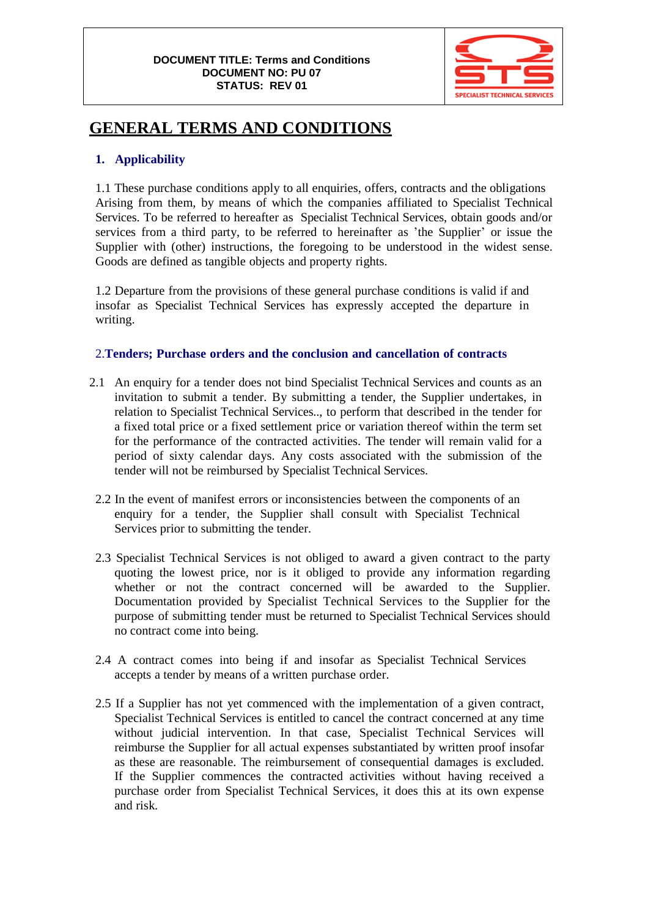

# **GENERAL TERMS AND CONDITIONS**

## **1. Applicability**

1.1 These purchase conditions apply to all enquiries, offers, contracts and the obligations Arising from them, by means of which the companies affiliated to Specialist Technical Services. To be referred to hereafter as Specialist Technical Services, obtain goods and/or services from a third party, to be referred to hereinafter as 'the Supplier' or issue the Supplier with (other) instructions, the foregoing to be understood in the widest sense. Goods are defined as tangible objects and property rights.

1.2 Departure from the provisions of these general purchase conditions is valid if and insofar as Specialist Technical Services has expressly accepted the departure in writing.

## 2.**Tenders; Purchase orders and the conclusion and cancellation of contracts**

- 2.1 An enquiry for a tender does not bind Specialist Technical Services and counts as an invitation to submit a tender. By submitting a tender, the Supplier undertakes, in relation to Specialist Technical Services.., to perform that described in the tender for a fixed total price or a fixed settlement price or variation thereof within the term set for the performance of the contracted activities. The tender will remain valid for a period of sixty calendar days. Any costs associated with the submission of the tender will not be reimbursed by Specialist Technical Services.
	- 2.2 In the event of manifest errors or inconsistencies between the components of an enquiry for a tender, the Supplier shall consult with Specialist Technical Services prior to submitting the tender.
	- 2.3 Specialist Technical Services is not obliged to award a given contract to the party quoting the lowest price, nor is it obliged to provide any information regarding whether or not the contract concerned will be awarded to the Supplier. Documentation provided by Specialist Technical Services to the Supplier for the purpose of submitting tender must be returned to Specialist Technical Services should no contract come into being.
	- 2.4 A contract comes into being if and insofar as Specialist Technical Services accepts a tender by means of a written purchase order.
	- 2.5 If a Supplier has not yet commenced with the implementation of a given contract, Specialist Technical Services is entitled to cancel the contract concerned at any time without judicial intervention. In that case, Specialist Technical Services will reimburse the Supplier for all actual expenses substantiated by written proof insofar as these are reasonable. The reimbursement of consequential damages is excluded. If the Supplier commences the contracted activities without having received a purchase order from Specialist Technical Services, it does this at its own expense and risk.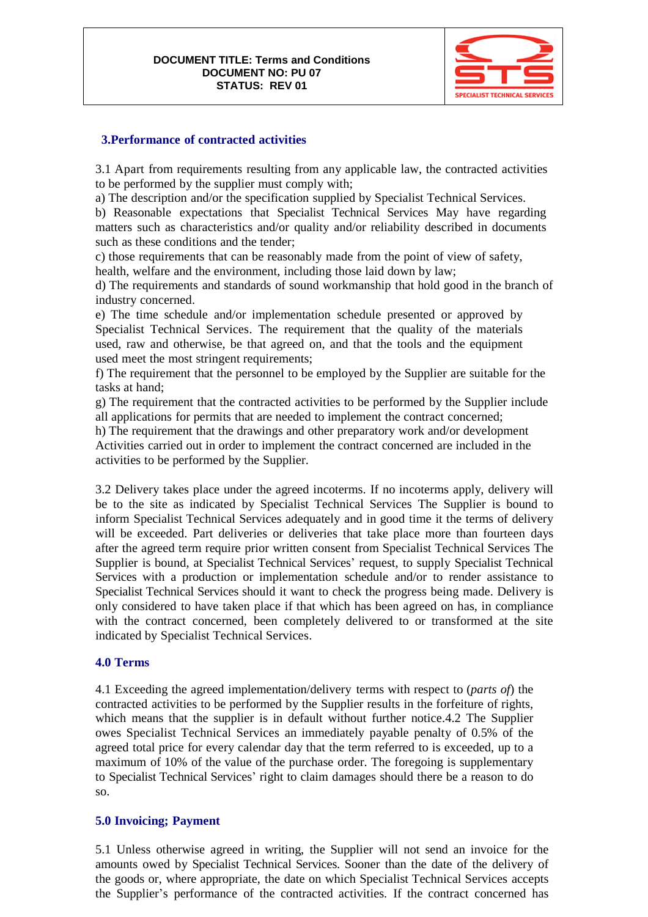

#### **3.Performance of contracted activities**

3.1 Apart from requirements resulting from any applicable law, the contracted activities to be performed by the supplier must comply with;

a) The description and/or the specification supplied by Specialist Technical Services.

b) Reasonable expectations that Specialist Technical Services May have regarding matters such as characteristics and/or quality and/or reliability described in documents such as these conditions and the tender;

c) those requirements that can be reasonably made from the point of view of safety, health, welfare and the environment, including those laid down by law;

d) The requirements and standards of sound workmanship that hold good in the branch of industry concerned.

e) The time schedule and/or implementation schedule presented or approved by Specialist Technical Services. The requirement that the quality of the materials used, raw and otherwise, be that agreed on, and that the tools and the equipment used meet the most stringent requirements;

f) The requirement that the personnel to be employed by the Supplier are suitable for the tasks at hand;

g) The requirement that the contracted activities to be performed by the Supplier include all applications for permits that are needed to implement the contract concerned;

h) The requirement that the drawings and other preparatory work and/or development Activities carried out in order to implement the contract concerned are included in the activities to be performed by the Supplier.

3.2 Delivery takes place under the agreed incoterms. If no incoterms apply, delivery will be to the site as indicated by Specialist Technical Services The Supplier is bound to inform Specialist Technical Services adequately and in good time it the terms of delivery will be exceeded. Part deliveries or deliveries that take place more than fourteen days after the agreed term require prior written consent from Specialist Technical Services The Supplier is bound, at Specialist Technical Services' request, to supply Specialist Technical Services with a production or implementation schedule and/or to render assistance to Specialist Technical Services should it want to check the progress being made. Delivery is only considered to have taken place if that which has been agreed on has, in compliance with the contract concerned, been completely delivered to or transformed at the site indicated by Specialist Technical Services.

#### **4.0 Terms**

4.1 Exceeding the agreed implementation/delivery terms with respect to (*parts of*) the contracted activities to be performed by the Supplier results in the forfeiture of rights, which means that the supplier is in default without further notice.4.2 The Supplier owes Specialist Technical Services an immediately payable penalty of 0.5% of the agreed total price for every calendar day that the term referred to is exceeded, up to a maximum of 10% of the value of the purchase order. The foregoing is supplementary to Specialist Technical Services' right to claim damages should there be a reason to do so.

#### **5.0 Invoicing; Payment**

5.1 Unless otherwise agreed in writing, the Supplier will not send an invoice for the amounts owed by Specialist Technical Services. Sooner than the date of the delivery of the goods or, where appropriate, the date on which Specialist Technical Services accepts the Supplier's performance of the contracted activities. If the contract concerned has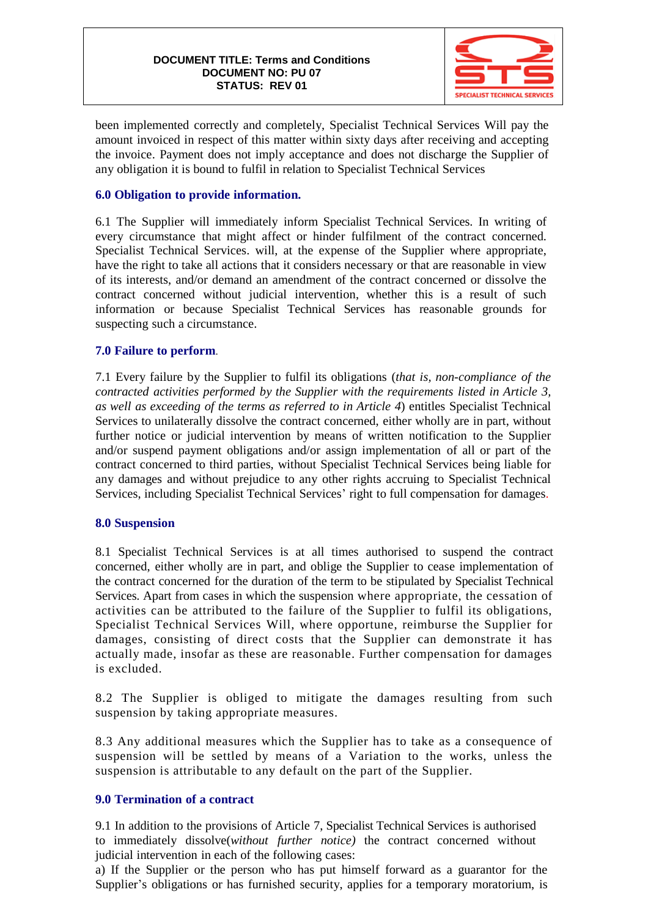

been implemented correctly and completely, Specialist Technical Services Will pay the amount invoiced in respect of this matter within sixty days after receiving and accepting the invoice. Payment does not imply acceptance and does not discharge the Supplier of any obligation it is bound to fulfil in relation to Specialist Technical Services

### **6.0 Obligation to provide information.**

6.1 The Supplier will immediately inform Specialist Technical Services. In writing of every circumstance that might affect or hinder fulfilment of the contract concerned. Specialist Technical Services. will, at the expense of the Supplier where appropriate, have the right to take all actions that it considers necessary or that are reasonable in view of its interests, and/or demand an amendment of the contract concerned or dissolve the contract concerned without judicial intervention, whether this is a result of such information or because Specialist Technical Services has reasonable grounds for suspecting such a circumstance.

#### **7.0 Failure to perform**.

7.1 Every failure by the Supplier to fulfil its obligations (*that is, non-compliance of the contracted activities performed by the Supplier with the requirements listed in Article 3, as well as exceeding of the terms as referred to in Article 4*) entitles Specialist Technical Services to unilaterally dissolve the contract concerned, either wholly are in part, without further notice or judicial intervention by means of written notification to the Supplier and/or suspend payment obligations and/or assign implementation of all or part of the contract concerned to third parties, without Specialist Technical Services being liable for any damages and without prejudice to any other rights accruing to Specialist Technical Services, including Specialist Technical Services' right to full compensation for damages.

#### **8.0 Suspension**

8.1 Specialist Technical Services is at all times authorised to suspend the contract concerned, either wholly are in part, and oblige the Supplier to cease implementation of the contract concerned for the duration of the term to be stipulated by Specialist Technical Services. Apart from cases in which the suspension where appropriate, the cessation of activities can be attributed to the failure of the Supplier to fulfil its obligations, Specialist Technical Services Will, where opportune, reimburse the Supplier for damages, consisting of direct costs that the Supplier can demonstrate it has actually made, insofar as these are reasonable. Further compensation for damages is excluded.

8.2 The Supplier is obliged to mitigate the damages resulting from such suspension by taking appropriate measures.

8.3 Any additional measures which the Supplier has to take as a consequence of suspension will be settled by means of a Variation to the works, unless the suspension is attributable to any default on the part of the Supplier.

#### **9.0 Termination of a contract**

9.1 In addition to the provisions of Article 7, Specialist Technical Services is authorised to immediately dissolve(*without further notice)* the contract concerned without judicial intervention in each of the following cases:

a) If the Supplier or the person who has put himself forward as a guarantor for the Supplier's obligations or has furnished security, applies for a temporary moratorium, is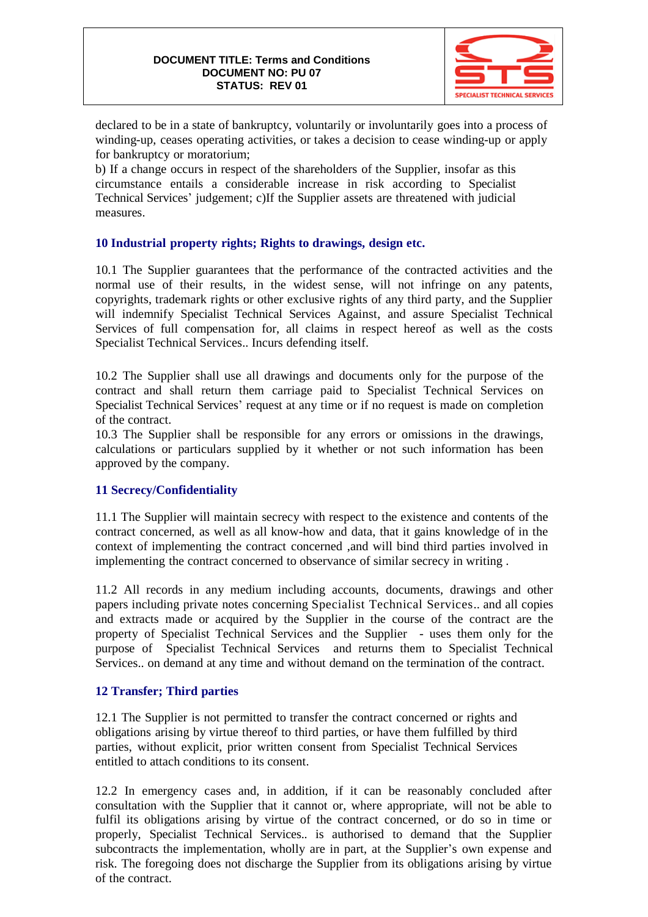

declared to be in a state of bankruptcy, voluntarily or involuntarily goes into a process of winding-up, ceases operating activities, or takes a decision to cease winding-up or apply for bankruptcy or moratorium;

b) If a change occurs in respect of the shareholders of the Supplier, insofar as this circumstance entails a considerable increase in risk according to Specialist Technical Services' judgement; c)If the Supplier assets are threatened with judicial measures.

## **10 Industrial property rights; Rights to drawings, design etc.**

10.1 The Supplier guarantees that the performance of the contracted activities and the normal use of their results, in the widest sense, will not infringe on any patents, copyrights, trademark rights or other exclusive rights of any third party, and the Supplier will indemnify Specialist Technical Services Against, and assure Specialist Technical Services of full compensation for, all claims in respect hereof as well as the costs Specialist Technical Services.. Incurs defending itself.

10.2 The Supplier shall use all drawings and documents only for the purpose of the contract and shall return them carriage paid to Specialist Technical Services on Specialist Technical Services' request at any time or if no request is made on completion of the contract.

10.3 The Supplier shall be responsible for any errors or omissions in the drawings, calculations or particulars supplied by it whether or not such information has been approved by the company.

## **11 Secrecy/Confidentiality**

11.1 The Supplier will maintain secrecy with respect to the existence and contents of the contract concerned, as well as all know-how and data, that it gains knowledge of in the context of implementing the contract concerned ,and will bind third parties involved in implementing the contract concerned to observance of similar secrecy in writing .

11.2 All records in any medium including accounts, documents, drawings and other papers including private notes concerning Specialist Technical Services.. and all copies and extracts made or acquired by the Supplier in the course of the contract are the property of Specialist Technical Services and the Supplier - uses them only for the purpose of Specialist Technical Services and returns them to Specialist Technical Services.. on demand at any time and without demand on the termination of the contract.

#### **12 Transfer; Third parties**

12.1 The Supplier is not permitted to transfer the contract concerned or rights and obligations arising by virtue thereof to third parties, or have them fulfilled by third parties, without explicit, prior written consent from Specialist Technical Services entitled to attach conditions to its consent.

12.2 In emergency cases and, in addition, if it can be reasonably concluded after consultation with the Supplier that it cannot or, where appropriate, will not be able to fulfil its obligations arising by virtue of the contract concerned, or do so in time or properly, Specialist Technical Services.. is authorised to demand that the Supplier subcontracts the implementation, wholly are in part, at the Supplier's own expense and risk. The foregoing does not discharge the Supplier from its obligations arising by virtue of the contract.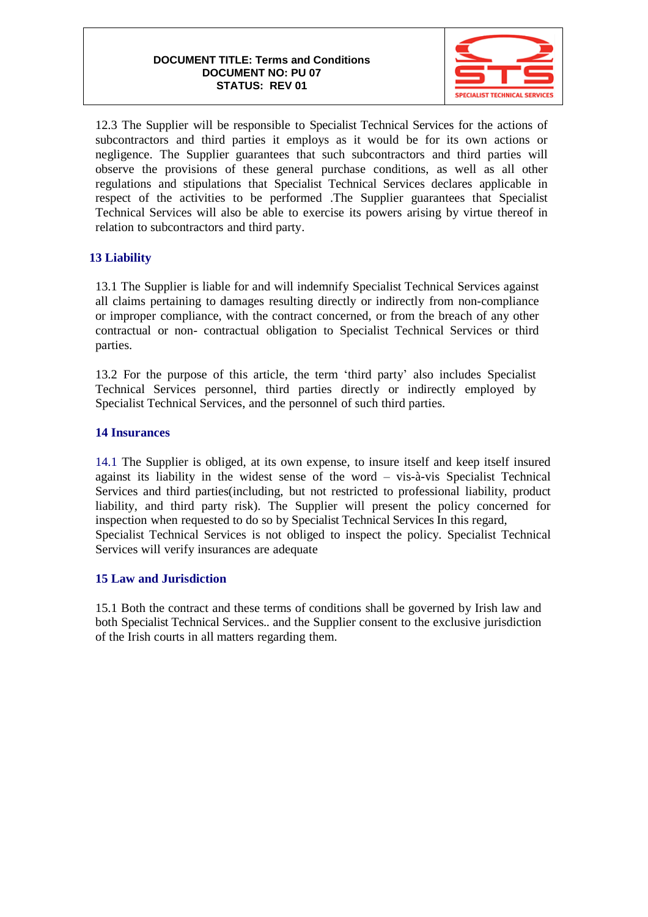

12.3 The Supplier will be responsible to Specialist Technical Services for the actions of subcontractors and third parties it employs as it would be for its own actions or negligence. The Supplier guarantees that such subcontractors and third parties will observe the provisions of these general purchase conditions, as well as all other regulations and stipulations that Specialist Technical Services declares applicable in respect of the activities to be performed .The Supplier guarantees that Specialist Technical Services will also be able to exercise its powers arising by virtue thereof in relation to subcontractors and third party.

## **13 Liability**

13.1 The Supplier is liable for and will indemnify Specialist Technical Services against all claims pertaining to damages resulting directly or indirectly from non-compliance or improper compliance, with the contract concerned, or from the breach of any other contractual or non- contractual obligation to Specialist Technical Services or third parties.

13.2 For the purpose of this article, the term 'third party' also includes Specialist Technical Services personnel, third parties directly or indirectly employed by Specialist Technical Services, and the personnel of such third parties.

#### **14 Insurances**

14.1 The Supplier is obliged, at its own expense, to insure itself and keep itself insured against its liability in the widest sense of the word – vis-à-vis Specialist Technical Services and third parties(including, but not restricted to professional liability, product liability, and third party risk). The Supplier will present the policy concerned for inspection when requested to do so by Specialist Technical Services In this regard, Specialist Technical Services is not obliged to inspect the policy. Specialist Technical Services will verify insurances are adequate

### **15 Law and Jurisdiction**

15.1 Both the contract and these terms of conditions shall be governed by Irish law and both Specialist Technical Services.. and the Supplier consent to the exclusive jurisdiction of the Irish courts in all matters regarding them.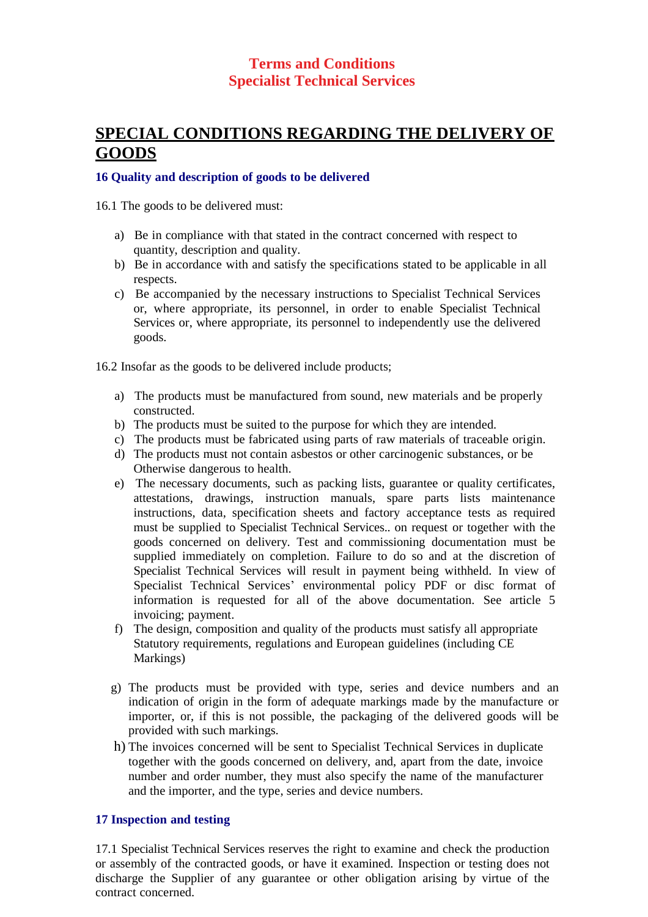# **SPECIAL CONDITIONS REGARDING THE DELIVERY OF GOODS**

#### **16 Quality and description of goods to be delivered**

16.1 The goods to be delivered must:

- a) Be in compliance with that stated in the contract concerned with respect to quantity, description and quality.
- b) Be in accordance with and satisfy the specifications stated to be applicable in all respects.
- c) Be accompanied by the necessary instructions to Specialist Technical Services or, where appropriate, its personnel, in order to enable Specialist Technical Services or, where appropriate, its personnel to independently use the delivered goods.

16.2 Insofar as the goods to be delivered include products;

- a) The products must be manufactured from sound, new materials and be properly constructed.
- b) The products must be suited to the purpose for which they are intended.
- c) The products must be fabricated using parts of raw materials of traceable origin.
- d) The products must not contain asbestos or other carcinogenic substances, or be Otherwise dangerous to health.
- e) The necessary documents, such as packing lists, guarantee or quality certificates, attestations, drawings, instruction manuals, spare parts lists maintenance instructions, data, specification sheets and factory acceptance tests as required must be supplied to Specialist Technical Services.. on request or together with the goods concerned on delivery. Test and commissioning documentation must be supplied immediately on completion. Failure to do so and at the discretion of Specialist Technical Services will result in payment being withheld. In view of Specialist Technical Services' environmental policy PDF or disc format of information is requested for all of the above documentation. See article 5 invoicing; payment.
- f) The design, composition and quality of the products must satisfy all appropriate Statutory requirements, regulations and European guidelines (including CE Markings)
- g) The products must be provided with type, series and device numbers and an indication of origin in the form of adequate markings made by the manufacture or importer, or, if this is not possible, the packaging of the delivered goods will be provided with such markings.
- h) The invoices concerned will be sent to Specialist Technical Services in duplicate together with the goods concerned on delivery, and, apart from the date, invoice number and order number, they must also specify the name of the manufacturer and the importer, and the type, series and device numbers.

#### **17 Inspection and testing**

17.1 Specialist Technical Services reserves the right to examine and check the production or assembly of the contracted goods, or have it examined. Inspection or testing does not discharge the Supplier of any guarantee or other obligation arising by virtue of the contract concerned.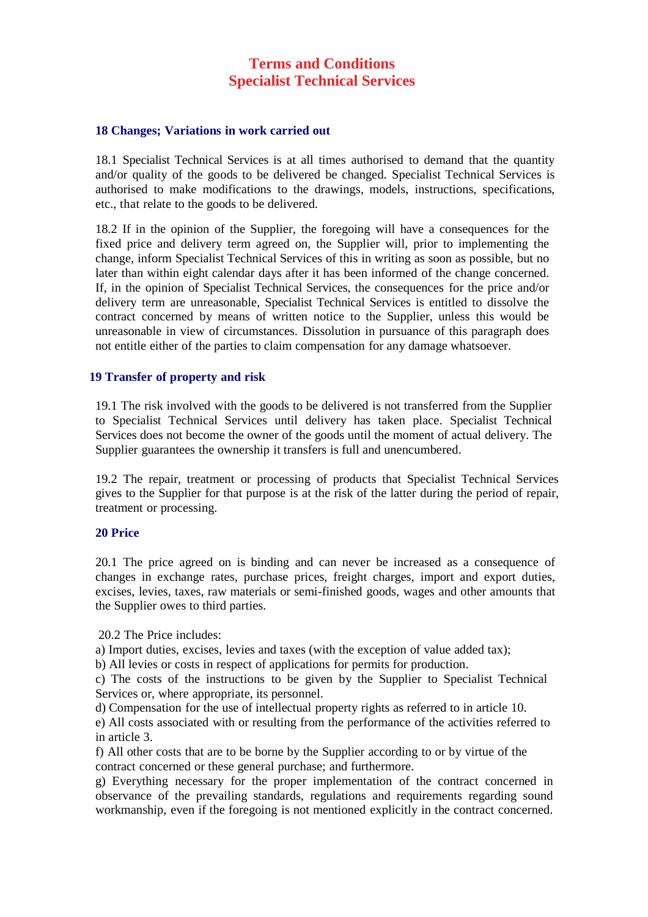#### **18 Changes; Variations in work carried out**

18.1 Specialist Technical Services is at all times authorised to demand that the quantity and/or quality of the goods to be delivered be changed. Specialist Technical Services is authorised to make modifications to the drawings, models, instructions, specifications, etc., that relate to the goods to be delivered.

18.2 If in the opinion of the Supplier, the foregoing will have a consequences for the fixed price and delivery term agreed on, the Supplier will, prior to implementing the change, inform Specialist Technical Services of this in writing as soon as possible, but no later than within eight calendar days after it has been informed of the change concerned. If, in the opinion of Specialist Technical Services, the consequences for the price and/or delivery term are unreasonable, Specialist Technical Services is entitled to dissolve the contract concerned by means of written notice to the Supplier, unless this would be unreasonable in view of circumstances. Dissolution in pursuance of this paragraph does not entitle either of the parties to claim compensation for any damage whatsoever.

#### **19 Transfer of property and risk**

19.1 The risk involved with the goods to be delivered is not transferred from the Supplier to Specialist Technical Services until delivery has taken place. Specialist Technical Services does not become the owner of the goods until the moment of actual delivery. The Supplier guarantees the ownership it transfers is full and unencumbered.

19.2 The repair, treatment or processing of products that Specialist Technical Services gives to the Supplier for that purpose is at the risk of the latter during the period of repair, treatment or processing.

#### **20 Price**

20.1 The price agreed on is binding and can never be increased as a consequence of changes in exchange rates, purchase prices, freight charges, import and export duties, excises, levies, taxes, raw materials or semi-finished goods, wages and other amounts that the Supplier owes to third parties.

20.2 The Price includes:

a) Import duties, excises, levies and taxes (with the exception of value added tax);

b) All levies or costs in respect of applications for permits for production.

c) The costs of the instructions to be given by the Supplier to Specialist Technical Services or, where appropriate, its personnel.

d) Compensation for the use of intellectual property rights as referred to in article 10.

e) All costs associated with or resulting from the performance of the activities referred to in article 3.

f) All other costs that are to be borne by the Supplier according to or by virtue of the contract concerned or these general purchase; and furthermore.

g) Everything necessary for the proper implementation of the contract concerned in observance of the prevailing standards, regulations and requirements regarding sound workmanship, even if the foregoing is not mentioned explicitly in the contract concerned.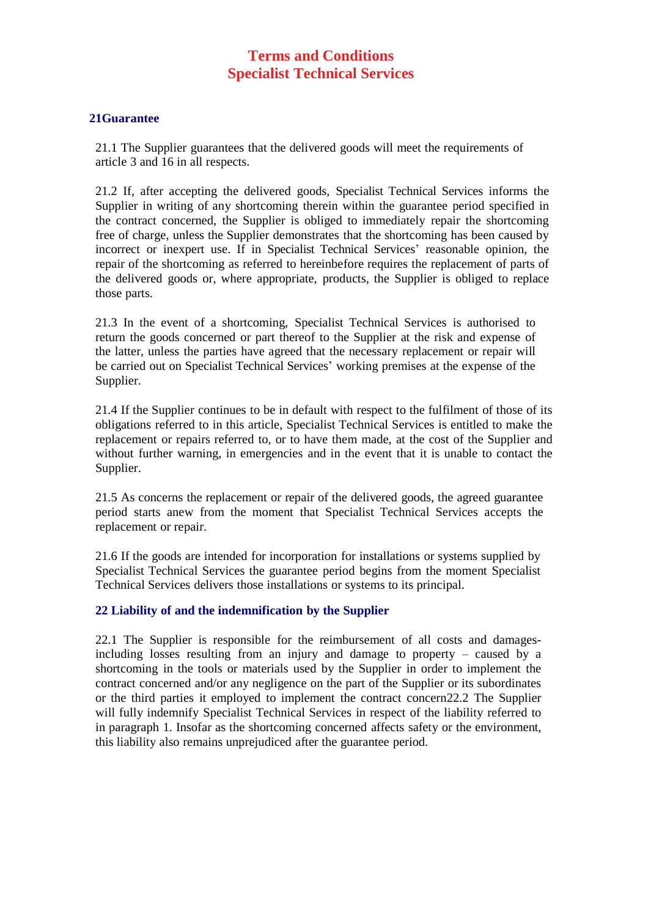#### **21Guarantee**

21.1 The Supplier guarantees that the delivered goods will meet the requirements of article 3 and 16 in all respects.

21.2 If, after accepting the delivered goods, Specialist Technical Services informs the Supplier in writing of any shortcoming therein within the guarantee period specified in the contract concerned, the Supplier is obliged to immediately repair the shortcoming free of charge, unless the Supplier demonstrates that the shortcoming has been caused by incorrect or inexpert use. If in Specialist Technical Services' reasonable opinion, the repair of the shortcoming as referred to hereinbefore requires the replacement of parts of the delivered goods or, where appropriate, products, the Supplier is obliged to replace those parts.

21.3 In the event of a shortcoming, Specialist Technical Services is authorised to return the goods concerned or part thereof to the Supplier at the risk and expense of the latter, unless the parties have agreed that the necessary replacement or repair will be carried out on Specialist Technical Services' working premises at the expense of the Supplier.

21.4 If the Supplier continues to be in default with respect to the fulfilment of those of its obligations referred to in this article, Specialist Technical Services is entitled to make the replacement or repairs referred to, or to have them made, at the cost of the Supplier and without further warning, in emergencies and in the event that it is unable to contact the Supplier.

21.5 As concerns the replacement or repair of the delivered goods, the agreed guarantee period starts anew from the moment that Specialist Technical Services accepts the replacement or repair.

21.6 If the goods are intended for incorporation for installations or systems supplied by Specialist Technical Services the guarantee period begins from the moment Specialist Technical Services delivers those installations or systems to its principal.

#### **22 Liability of and the indemnification by the Supplier**

22.1 The Supplier is responsible for the reimbursement of all costs and damagesincluding losses resulting from an injury and damage to property – caused by a shortcoming in the tools or materials used by the Supplier in order to implement the contract concerned and/or any negligence on the part of the Supplier or its subordinates or the third parties it employed to implement the contract concern22.2 The Supplier will fully indemnify Specialist Technical Services in respect of the liability referred to in paragraph 1. Insofar as the shortcoming concerned affects safety or the environment, this liability also remains unprejudiced after the guarantee period.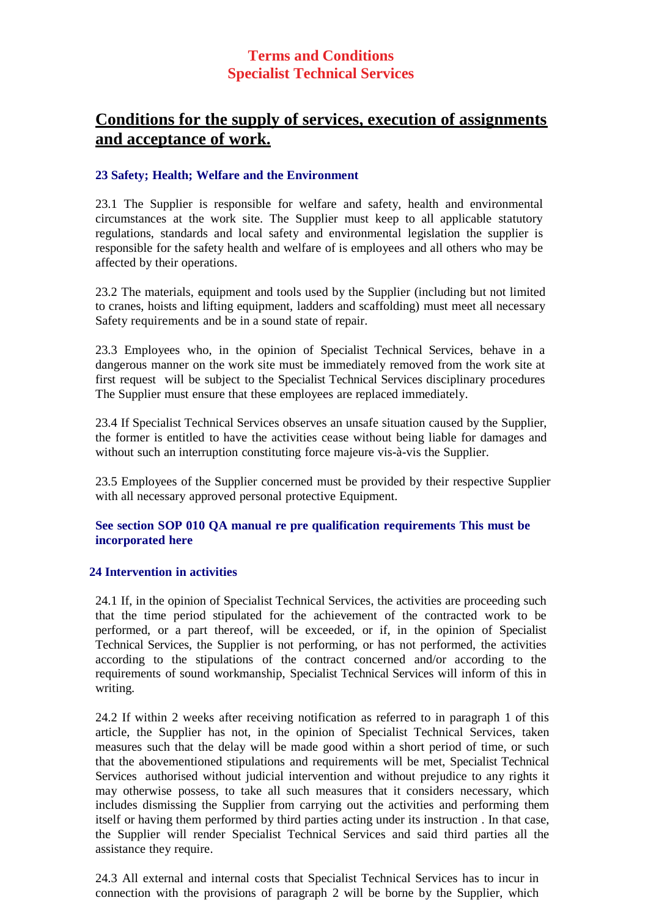# **Conditions for the supply of services, execution of assignments and acceptance of work.**

### **23 Safety; Health; Welfare and the Environment**

23.1 The Supplier is responsible for welfare and safety, health and environmental circumstances at the work site. The Supplier must keep to all applicable statutory regulations, standards and local safety and environmental legislation the supplier is responsible for the safety health and welfare of is employees and all others who may be affected by their operations.

23.2 The materials, equipment and tools used by the Supplier (including but not limited to cranes, hoists and lifting equipment, ladders and scaffolding) must meet all necessary Safety requirements and be in a sound state of repair.

23.3 Employees who, in the opinion of Specialist Technical Services, behave in a dangerous manner on the work site must be immediately removed from the work site at first request will be subject to the Specialist Technical Services disciplinary procedures The Supplier must ensure that these employees are replaced immediately.

23.4 If Specialist Technical Services observes an unsafe situation caused by the Supplier, the former is entitled to have the activities cease without being liable for damages and without such an interruption constituting force majeure vis-à-vis the Supplier.

23.5 Employees of the Supplier concerned must be provided by their respective Supplier with all necessary approved personal protective Equipment.

#### **See section SOP 010 QA manual re pre qualification requirements This must be incorporated here**

#### **24 Intervention in activities**

24.1 If, in the opinion of Specialist Technical Services, the activities are proceeding such that the time period stipulated for the achievement of the contracted work to be performed, or a part thereof, will be exceeded, or if, in the opinion of Specialist Technical Services, the Supplier is not performing, or has not performed, the activities according to the stipulations of the contract concerned and/or according to the requirements of sound workmanship, Specialist Technical Services will inform of this in writing.

24.2 If within 2 weeks after receiving notification as referred to in paragraph 1 of this article, the Supplier has not, in the opinion of Specialist Technical Services, taken measures such that the delay will be made good within a short period of time, or such that the abovementioned stipulations and requirements will be met, Specialist Technical Services authorised without judicial intervention and without prejudice to any rights it may otherwise possess, to take all such measures that it considers necessary, which includes dismissing the Supplier from carrying out the activities and performing them itself or having them performed by third parties acting under its instruction . In that case, the Supplier will render Specialist Technical Services and said third parties all the assistance they require.

24.3 All external and internal costs that Specialist Technical Services has to incur in connection with the provisions of paragraph 2 will be borne by the Supplier, which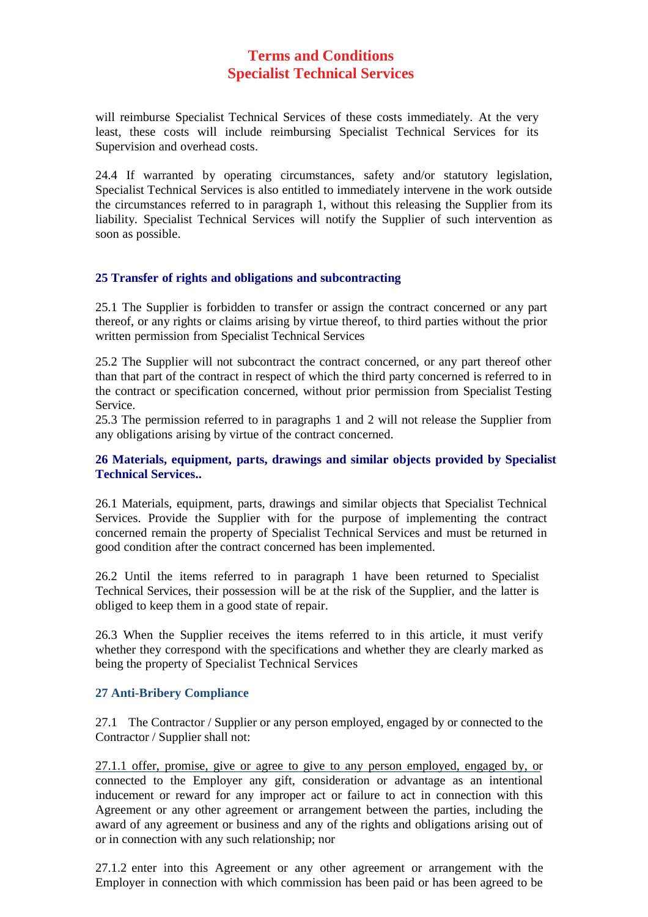will reimburse Specialist Technical Services of these costs immediately. At the very least, these costs will include reimbursing Specialist Technical Services for its Supervision and overhead costs.

24.4 If warranted by operating circumstances, safety and/or statutory legislation, Specialist Technical Services is also entitled to immediately intervene in the work outside the circumstances referred to in paragraph 1, without this releasing the Supplier from its liability. Specialist Technical Services will notify the Supplier of such intervention as soon as possible.

## **25 Transfer of rights and obligations and subcontracting**

25.1 The Supplier is forbidden to transfer or assign the contract concerned or any part thereof, or any rights or claims arising by virtue thereof, to third parties without the prior written permission from Specialist Technical Services

25.2 The Supplier will not subcontract the contract concerned, or any part thereof other than that part of the contract in respect of which the third party concerned is referred to in the contract or specification concerned, without prior permission from Specialist Testing Service.

25.3 The permission referred to in paragraphs 1 and 2 will not release the Supplier from any obligations arising by virtue of the contract concerned.

## **26 Materials, equipment, parts, drawings and similar objects provided by Specialist Technical Services..**

26.1 Materials, equipment, parts, drawings and similar objects that Specialist Technical Services. Provide the Supplier with for the purpose of implementing the contract concerned remain the property of Specialist Technical Services and must be returned in good condition after the contract concerned has been implemented.

26.2 Until the items referred to in paragraph 1 have been returned to Specialist Technical Services, their possession will be at the risk of the Supplier, and the latter is obliged to keep them in a good state of repair.

26.3 When the Supplier receives the items referred to in this article, it must verify whether they correspond with the specifications and whether they are clearly marked as being the property of Specialist Technical Services

#### **27 Anti-Bribery Compliance**

27.1 The Contractor / Supplier or any person employed, engaged by or connected to the Contractor / Supplier shall not:

27.1.1 offer, promise, give or agree to give to any person employed, engaged by, or connected to the Employer any gift, consideration or advantage as an intentional inducement or reward for any improper act or failure to act in connection with this Agreement or any other agreement or arrangement between the parties, including the award of any agreement or business and any of the rights and obligations arising out of or in connection with any such relationship; nor

27.1.2 enter into this Agreement or any other agreement or arrangement with the Employer in connection with which commission has been paid or has been agreed to be